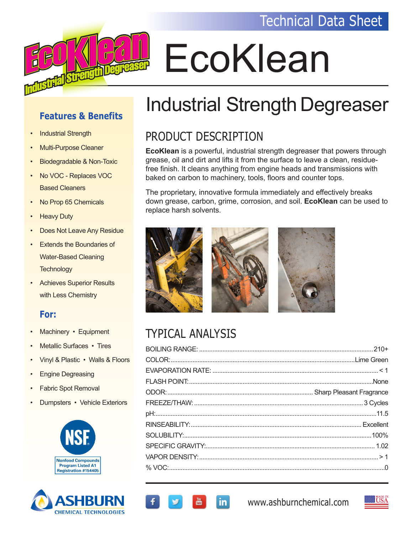

# EcoKlean

#### **Features & Benefits**

- Industrial Strength
- Multi-Purpose Cleaner
- Biodegradable & Non-Toxic
- No VOC Replaces VOC Based Cleaners
- No Prop 65 Chemicals
- Heavy Duty
- Does Not Leave Any Residue
- **Extends the Boundaries of**  Water-Based Cleaning **Technology**
- Achieves Superior Results with Less Chemistry

#### **For:**

- Machinery Equipment
- Metallic Surfaces Tires
- Vinyl & Plastic Walls & Floors
- Engine Degreasing
- Fabric Spot Removal
- Dumpsters Vehicle Exteriors





# Industrial Strength Degreaser

## PRODUCT DESCRIPTION

**EcoKlean** is a powerful, industrial strength degreaser that powers through grease, oil and dirt and lifts it from the surface to leave a clean, residuefree finish. It cleans anything from engine heads and transmissions with baked on carbon to machinery, tools, floors and counter tops.

The proprietary, innovative formula immediately and effectively breaks down grease, carbon, grime, corrosion, and soil. **EcoKlean** can be used to replace harsh solvents.



in.

# TYPICAL ANALYSIS